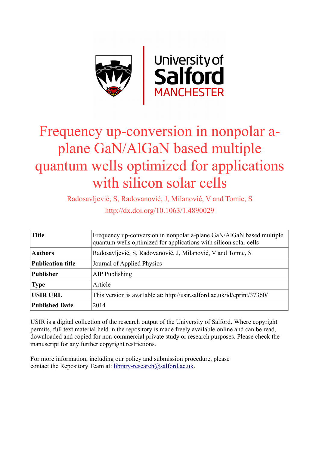

# Frequency up-conversion in nonpolar aplane GaN/AlGaN based multiple quantum wells optimized for applications with silicon solar cells

Radosavljević, S, Radovanović, J, Milanović, V and Tomic, S http://dx.doi.org/10.1063/1.4890029

| <b>Title</b>             | Frequency up-conversion in nonpolar a-plane GaN/AlGaN based multiple<br>quantum wells optimized for applications with silicon solar cells |
|--------------------------|-------------------------------------------------------------------------------------------------------------------------------------------|
| <b>Authors</b>           | Radosavljević, S. Radovanović, J. Milanović, V and Tomic, S.                                                                              |
| <b>Publication title</b> | Journal of Applied Physics                                                                                                                |
| <b>Publisher</b>         | AIP Publishing                                                                                                                            |
| <b>Type</b>              | Article                                                                                                                                   |
| <b>USIR URL</b>          | This version is available at: http://usir.salford.ac.uk/id/eprint/37360/                                                                  |
| <b>Published Date</b>    | 2014                                                                                                                                      |

USIR is a digital collection of the research output of the University of Salford. Where copyright permits, full text material held in the repository is made freely available online and can be read, downloaded and copied for non-commercial private study or research purposes. Please check the manuscript for any further copyright restrictions.

For more information, including our policy and submission procedure, please contact the Repository Team at: [library-research@salford.ac.uk.](mailto:library-research@salford.ac.uk)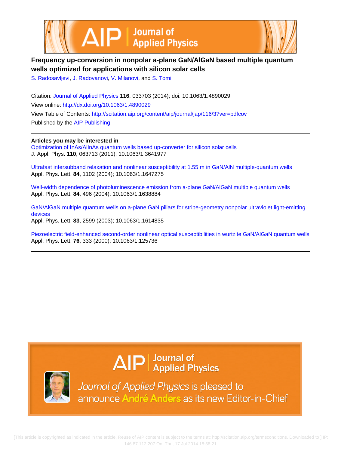



## **Frequency up-conversion in nonpolar a-plane GaN/AlGaN based multiple quantum wells optimized for applications with silicon solar cells**

[S. Radosavljevi,](http://scitation.aip.org/search?value1=S.+Radosavljevi&option1=author) [J. Radovanovi,](http://scitation.aip.org/search?value1=J.+Radovanovi&option1=author) [V. Milanovi](http://scitation.aip.org/search?value1=V.+Milanovi&option1=author), and [S. Tomi](http://scitation.aip.org/search?value1=S.+Tomi&option1=author)

Citation: [Journal of Applied Physics](http://scitation.aip.org/content/aip/journal/jap?ver=pdfcov) **116**, 033703 (2014); doi: 10.1063/1.4890029 View online: <http://dx.doi.org/10.1063/1.4890029> View Table of Contents: <http://scitation.aip.org/content/aip/journal/jap/116/3?ver=pdfcov> Published by the [AIP Publishing](http://scitation.aip.org/content/aip?ver=pdfcov)

#### **Articles you may be interested in**

[Optimization of InAs/AlInAs quantum wells based up-converter for silicon solar cells](http://scitation.aip.org/content/aip/journal/jap/110/6/10.1063/1.3641977?ver=pdfcov) J. Appl. Phys. **110**, 063713 (2011); 10.1063/1.3641977

[Ultrafast intersubband relaxation and nonlinear susceptibility at 1.55 m in GaN/AlN multiple-quantum wells](http://scitation.aip.org/content/aip/journal/apl/84/7/10.1063/1.1647275?ver=pdfcov) Appl. Phys. Lett. **84**, 1102 (2004); 10.1063/1.1647275

[Well-width dependence of photoluminescence emission from a-plane GaN/AlGaN multiple quantum wells](http://scitation.aip.org/content/aip/journal/apl/84/4/10.1063/1.1638884?ver=pdfcov) Appl. Phys. Lett. **84**, 496 (2004); 10.1063/1.1638884

[GaN/AlGaN multiple quantum wells on a-plane GaN pillars for stripe-geometry nonpolar ultraviolet light-emitting](http://scitation.aip.org/content/aip/journal/apl/83/13/10.1063/1.1614835?ver=pdfcov) [devices](http://scitation.aip.org/content/aip/journal/apl/83/13/10.1063/1.1614835?ver=pdfcov) Appl. Phys. Lett. **83**, 2599 (2003); 10.1063/1.1614835

[Piezoelectric field-enhanced second-order nonlinear optical susceptibilities in wurtzite GaN/AlGaN quantum wells](http://scitation.aip.org/content/aip/journal/apl/76/3/10.1063/1.125736?ver=pdfcov) Appl. Phys. Lett. **76**, 333 (2000); 10.1063/1.125736

# $\Delta$   $\vert P \vert$  Journal of Applied Physics



Journal of Applied Physics is pleased to announce André Anders as its new Editor-in-Chief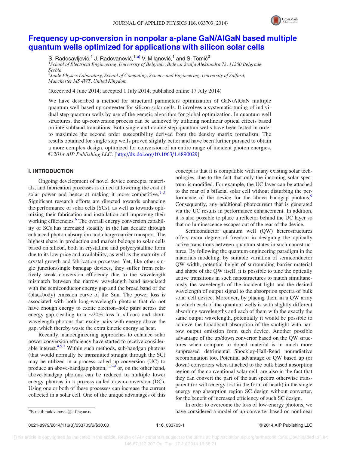

### [Frequency up-conversion in nonpolar a-plane GaN/AlGaN based multiple](http://dx.doi.org/10.1063/1.4890029) [quantum wells optimized for applications with silicon solar cells](http://dx.doi.org/10.1063/1.4890029)

S. Radosavljević,<sup>1</sup> J. Radovanović,<sup>1,a)</sup> V. Milanović,<sup>1</sup> and S. Tomić<sup>2</sup>

<sup>1</sup>School of Electrical Engineering, University of Belgrade, Bulevar kralja Aleksandra 73, 11200 Belgrade, Serbia

 $^{2}$ Joule Physics Laboratory, School of Computing, Science and Engineering, University of Salford, Manchester M5 4WT, United Kingdom

(Received 4 June 2014; accepted 1 July 2014; published online 17 July 2014)

We have described a method for structural parameters optimization of GaN/AlGaN multiple quantum well based up-converter for silicon solar cells. It involves a systematic tuning of individual step quantum wells by use of the genetic algorithm for global optimization. In quantum well structures, the up-conversion process can be achieved by utilizing nonlinear optical effects based on intersubband transitions. Both single and double step quantum wells have been tested in order to maximize the second order susceptibility derived from the density matrix formalism. The results obtained for single step wells proved slightly better and have been further pursued to obtain a more complex design, optimized for conversion of an entire range of incident photon energies. © 2014 AIP Publishing LLC. [[http://dx.doi.org/10.1063/1.4890029\]](http://dx.doi.org/10.1063/1.4890029)

#### I. INTRODUCTION

Ongoing development of novel device concepts, materials, and fabrication processes is aimed at lowering the cost of solar power and hence at making it more competitive. $1-5$ Significant research efforts are directed towards enhancing the performance of solar cells (SCs), as well as towards optimizing their fabrication and installation and improving their working efficiencies.<sup>6</sup> The overall energy conversion capability of SCs has increased steadily in the last decade through enhanced photon absorption and charge carrier transport. The highest share in production and market belongs to solar cells based on silicon, both in crystalline and polycrystalline form due to its low price and availability, as well as the maturity of crystal growth and fabrication processes. Yet, like other single junction/single bandgap devices, they suffer from relatively weak conversion efficiency due to the wavelength mismatch between the narrow wavelength band associated with the semiconductor energy gap and the broad band of the (blackbody) emission curve of the Sun. The power loss is associated with both long-wavelength photons that do not have enough energy to excite electron–hole pairs across the energy gap (leading to a  $\sim$  20% loss in silicon) and shortwavelength photons that excite pairs with energy above the gap, which thereby waste the extra kinetic energy as heat.

Recently, nanoengineering approaches to enhance solar power conversion efficiency have started to receive considerable interest.<sup>4,5,7</sup> Within such methods, sub-bandgap photons (that would normally be transmitted straight through the SC) may be utilized in a process called up-conversion (UC) to produce an above-bandgap photon,  $5,7-9$  or, on the other hand, above-bandgap photons can be reduced to multiple lower energy photons in a process called down-conversion (DC). Using one or both of these processes can increase the current collected in a solar cell. One of the unique advantages of this

concept is that it is compatible with many existing solar technologies, due to the fact that only the incoming solar spectrum is modified. For example, the UC layer can be attached to the rear of a bifacial solar cell without disturbing the performance of the device for the above bandgap photons.<sup>9</sup> Consequently, any additional photocurrent that is generated via the UC results in performance enhancement. In addition, it is also possible to place a reflector behind the UC layer so that no luminescence escapes out of the rear of the device.

Semiconductor quantum well (QW) heterostructures offers extra degree of freedom in designing the optically active transitions between quantum states in such nanostructures. By following the quantum engineering paradigm in the materials modeling, by suitable variation of semiconductor QW width, potential height of surrounding barrier material and shape of the QW itself, it is possible to tune the optically active transitions in such nanostructures to match simultaneously the wavelength of the incident light and the desired wavelength of output signal to the absorption spectra of bulk solar cell device. Moreover, by placing them in a QW array in which each of the quantum wells is with slightly different absorbing wavelengths and each of them with the exactly the same output wavelength, potentially it would be possible to achieve the broadband absorption of the sunlight with narrow output emission form such device. Another possible advantage of the up/down convertor based on the QW structures when compare to doped material is in much more suppressed detrimental Shockley-Hall-Read nonradiative recombination too. Potential advantage of QW based up (or down) converters when attached to the bulk based absorption region of the conventional solar cell, are also in the fact that they can convert the part of the sun spectra otherwise transparent (or with energy lost in the form of heath) in the single energy gap absorption region SC design without converter, for the benefit of increased efficiency of such SC design.

In order to overcome the loss of low-energy photons, we

0021-8979/2014/116(3)/033703/6/\$30.00 116, 033703-1 © 2014 AIP Publishing LLC

a)E-mail: [radovanovic@etf.bg.ac.rs](mailto:radovanovic@etf.bg.ac.rs) have considered a model of up-converter based on nonlinear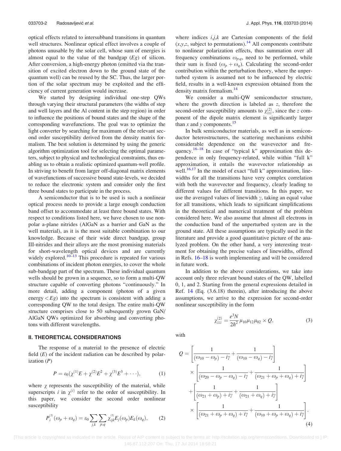<span id="page-3-0"></span>optical effects related to intersubband transitions in quantum well structures. Nonlinear optical effect involves a couple of photons unusable by the solar cell, whose sum of energies is almost equal to the value of the bandgap  $(Eg)$  of silicon. After conversion, a high-energy photon (emitted via the transition of excited electron down to the ground state of the quantum well) can be reused by the SC. Thus, the larger portion of the solar spectrum may be exploited and the efficiency of current generation would increase.

We started by designing individual one-step QWs through varying their structural parameters (the widths of step and well layers and the Al content in the step region) in order to influence the positions of bound states and the shape of the corresponding wavefunctions. The goal was to optimize the light converter by searching for maximum of the relevant second order susceptibility derived from the density matrix formalism. The best solution is determined by using the generic algorithm optimization tool for selecting the optimal parameters, subject to physical and technological constraints, thus enabling us to obtain a realistic optimized quantum-well profile. In striving to benefit from larger off-diagonal matrix elements of wavefunctions of successive bound state-levels, we decided to reduce the electronic system and consider only the first three bound states to participate in the process.

A semiconductor that is to be used is such a nonlinear optical process needs to provide a large enough conduction band offset to accommodate at least three bound states. With respect to conditions listed here, we have chosen to use nonpolar a-plane nitrides (AlGaN as a barrier and GaN as the well material), as it is the most suitable combination to our knowledge. Because of their wide direct bandgap, group III-nitrides and their alloys are the most promising materials for short-wavelength optical devices and are currently widely explored.<sup>[10–13](#page-7-0)</sup> This procedure is repeated for various combinations of incident photon energies, to cover the whole sub-bandgap part of the spectrum. These individual quantum wells should be grown in a sequence, so to form a multi-QW structure capable of converting photons "continuously." In more detail, adding a component (photon of a given energy  $\langle E g \rangle$  into the spectrum is consistent with adding a corresponding QW to the total design. The entire multi-QW structure comprises close to 50 subsequently grown GaN/ AlGaN QWs optimized for absorbing and converting photons with different wavelengths.

#### II. THEORETICAL CONSIDERATIONS

The response of a material to the presence of electric field  $(E)$  of the incident radiation can be described by polarization  $(P)$ 

$$
P = \varepsilon_0(\chi^{(1)}E + \chi^{(2)}E^2 + \chi^{(3)}E^3 + \cdots), \tag{1}
$$

where  $\chi$  represents the susceptibility of the material, while superscripts i in  $\chi^{(i)}$  refer to the order of susceptibility. In this paper, we consider the second order nonlinear susceptibility

$$
P_i^{(2)}(\omega_p + \omega_q) = \varepsilon_0 \sum_{j,k} \sum_{p,q} \chi_{ijk}^{(2)} E_j(\omega_p) E_k(\omega_q), \qquad (2)
$$

where indices  $i,j,k$  are Cartesian components of the field  $(x, y, z,$  subject to permutations).<sup>14</sup> All components contribute to nonlinear polarization effects, thus summation over all frequency combinations  $\omega_{p,q}$ , need to be performed, while their sum is fixed  $(\omega_p + \omega_q)$ . Calculating the second-order contribution within the perturbation theory, where the unperturbed system is assumed not to be influenced by electric field, results in a well-known expression obtained from the density matrix formalism.<sup>[14](#page-7-0)</sup>

We consider a multi-QW semiconductor structure, where the growth direction is labeled as z, therefore the second-order susceptibility amounts to  $\chi^{(2)}_{zzz}$ , since the z component of the dipole matrix element is significantly larger than x and y components.<sup>[15](#page-7-0)</sup>

In bulk semiconductor materials, as well as in semiconductor heterostructures, the scattering mechanisms exhibit considerable dependence on the wavevector and frequency.[16–18](#page-7-0) In case of "typical k" approximation this dependence in only frequency-related, while within "full k" approximation, it entails the wavevector relationship as well. $16,17$  In the model of exact "full k" approximation, linewidths for all the transitions have very complex correlation with both the wavevector and frequency, clearly leading to different values for different transitions. In this paper, we use the averaged values of linewidth  $\gamma$ , taking an equal value for all transitions, which leads to significant simplifications in the theoretical and numerical treatment of the problem considered here. We also assume that almost all electrons in the conduction band of the unperturbed system are in the ground state. All these assumptions are typically used in the literature and provide a good quantitative picture of the analyzed problem. On the other hand, a very interesting treatment for obtaining the precise values of linewidths, offered in Refs. [16–18](#page-7-0) is worth implementing and will be considered in future work.

In addition to the above considerations, we take into account only three relevant bound states of the QW, labelled 0, 1, and 2. Starting from the general expressions detailed in Ref. [14](#page-7-0) (Eq. (3.6.18) therein), after introducing the above assumptions, we arrive to the expression for second-order nonlinear susceptibility in the form

$$
\chi_{zzz}^{(2)} = \frac{e^3 N}{2\hbar^2} \mu_{10} \mu_{12} \mu_{02} \times Q,\tag{3}
$$

with

$$
Q = \left[\frac{1}{(\omega_{10} - \omega_p) - i\gamma} + \frac{1}{(\omega_{10} - \omega_q) - i\gamma}\right] \times \left[\frac{1}{(\omega_{20} - \omega_p - \omega_q) - i\gamma} + \frac{1}{(\omega_{21} + \omega_p + \omega_q) + i\gamma}\right] + \left[\frac{1}{(\omega_{21} + \omega_p) + i\gamma} + \frac{1}{(\omega_{21} + \omega_q) + i\gamma}\right] \times \left[\frac{1}{(\omega_{21} + \omega_p + \omega_q) + i\gamma} + \frac{1}{(\omega_{10} + \omega_p + \omega_q) + i\gamma}\right].
$$
\n(4)

 [This article is copyrighted as indicated in the article. Reuse of AIP content is subject to the terms at: http://scitation.aip.org/termsconditions. Downloaded to ] IP: 146.87.112.207 On: Thu, 17 Jul 2014 18:58:21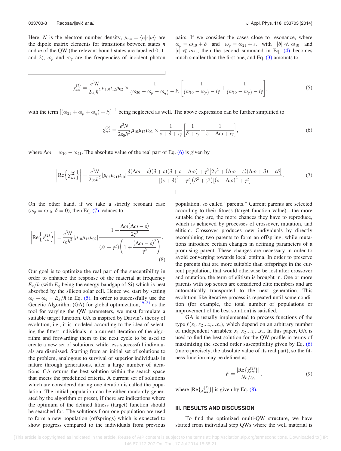<span id="page-4-0"></span>Here, N is the electron number density,  $\mu_{nm} = \langle n | z | m \rangle$  are the dipole matrix elements for transitions between states  $n$ and m of the QW (the relevant bound states are labelled 0, 1, and 2),  $\omega_p$  and  $\omega_q$  are the frequencies of incident photon pairs. If we consider the cases close to resonance, where  $\omega_p = \omega_{10} + \delta$  and  $\omega_q = \omega_{21} + \epsilon$ , with  $|\delta| \ll \omega_{10}$  and  $|\varepsilon| \ll \omega_{21}$ , then the second summand in Eq. [\(4\)](#page-3-0) becomes much smaller than the first one, and Eq. [\(3\)](#page-3-0) amounts to

$$
\chi_{zzz}^{(2)} = \frac{e^3 N}{2\varepsilon_0 \hbar^2} \mu_{10} \mu_{12} \mu_{02} \times \frac{1}{(\omega_{20} - \omega_p - \omega_q) - i\gamma} \left[ \frac{1}{(\omega_{10} - \omega_p) - i\gamma} + \frac{1}{(\omega_{10} - \omega_q) - i\gamma} \right],
$$
\n(5)

with the term  $[(\omega_{21} + \omega_p + \omega_q) + i\gamma]^{-1}$  being neglected as well. The above expression can be further simplified to

$$
\chi_{zzz}^{(2)} = \frac{e^3 N}{2\epsilon_0 \hbar^2} \mu_{10} \mu_{12} \mu_{02} \times \frac{1}{\epsilon + \delta + i\gamma} \left[ \frac{1}{\delta + i\gamma} + \frac{1}{\epsilon - \Delta\omega + i\gamma} \right],\tag{6}
$$

where  $\Delta \omega = \omega_{10} - \omega_{21}$ . The absolute value of the real part of Eq. (6) is given by

$$
\left| \operatorname{Re} \left\{ \chi_{zzz}^{(2)} \right\} \right| = \frac{e^3 N}{2\varepsilon_0 \hbar^2} |\mu_{02}\mu_{21}\mu_{10}| \frac{\delta(\Delta\omega - \varepsilon)(\delta + \varepsilon)(\delta + \varepsilon - \Delta\omega) + \gamma^2 [2\gamma^2 + (\Delta\omega - \varepsilon)(\Delta\omega + \delta) - \varepsilon\delta]}{[(\varepsilon + \delta)^2 + \gamma^2] (\delta^2 + \gamma^2) [(\varepsilon - \Delta\omega)^2 + \gamma^2]}.
$$
 (7)

On the other hand, if we take a strictly resonant case  $(\omega_p = \omega_{10}, \delta = 0)$ , then Eq. (7) reduces to

$$
\left| \operatorname{Re} \left\{ \chi_{zzz}^{(2)} \right\} \right| = \frac{e^3 N}{\varepsilon_0 \hbar^2} |\mu_{10} \mu_{12} \mu_{02}| \frac{1 + \frac{\Delta \omega (\Delta \omega - \varepsilon)}{2\gamma^2}}{(\varepsilon^2 + \gamma^2) \left( 1 + \frac{(\Delta \omega - \varepsilon)^2}{\gamma^2} \right)}.
$$
\n(8)

Our goal is to optimize the real part of the susceptibility in order to enhance the response of the material at frequency  $E_g/\hbar$  (with  $E_g$  being the energy bandgap of Si) which is best absorbed by the silicon solar cell. Hence we start by setting  $\omega_p + \omega_q = E_g/\hbar$  in Eq. (5). In order to successfully use the Genetic Algorithm (GA) for global optimization,  $19-21$  as the tool for varying the QW parameters, we must formulate a suitable target function. GA is inspired by Darvin's theory of evolution, i.e., it is modeled according to the idea of selecting the fittest individuals in a current iteration of the algorithm and forwarding them to the next cycle to be used to create a new set of solutions, while less successful individuals are dismissed. Starting from an initial set of solutions to the problem, analogous to survival of superior individuals in nature through generations, after a large number of iterations, GA returns the best solution within the search space that meets the predefined criteria. A current set of solutions which are considered during one iteration is called the population. The initial population can be either randomly generated by the algorithm or preset, if there are indications where the optimum of the defined fitness (target) function should be searched for. The solutions from one population are used to form a new population (offsprings) which is expected to show progress compared to the individuals from previous population, so called "parents." Current parents are selected according to their fitness (target function value)—the more suitable they are, the more chances they have to reproduce, which is achieved by processes of crossover, mutation, and elitism. Crossover produces new individuals by directly recombining two parents to form an offspring, while mutations introduce certain changes in defining parameters of a promising parent. These changes are necessary in order to avoid converging towards local optima. In order to preserve the parents that are more suitable than offsprings in the current population, that would otherwise be lost after crossover and mutation, the term of elitism is brought in. One or more parents with top scores are considered elite members and are automatically transported to the next generation. This evolution-like iterative process is repeated until some condition (for example, the total number of populations or improvement of the best solution) is satisfied.

GA is usually implemented to process functions of the type  $f(x_1, x_2...x_i...x_n)$ , which depend on an arbitrary number of independent variables:  $x_1, x_2 \ldots x_i \ldots x_n$ . In this paper, GA is used to find the best solution for the QW profile in terms of maximizing the second order susceptibility given by Eq. (6) (more precisely, the absolute value of its real part), so the fitness function may be defined as

$$
F = \frac{|\text{Re}\{\chi_{zzz}^{(2)}\}|}{Ne/\varepsilon_0},\tag{9}
$$

where  $\text{Re}\lbrace \chi_{zzz}^{(2)} \rbrace$  is given by Eq. (8).

#### III. RESULTS AND DISCUSSION

To find the optimized multi-QW structure, we have started from individual step QWs where the well material is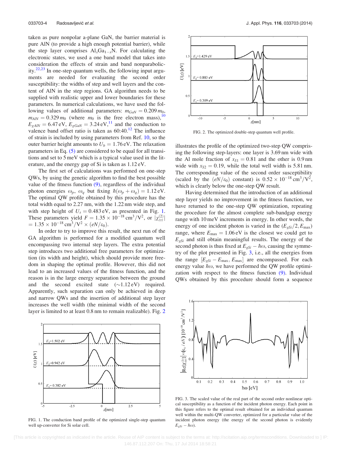<span id="page-5-0"></span>taken as pure nonpolar a-plane GaN, the barrier material is pure AlN (to provide a high enough potential barrier), while the step layer comprises  $Al_xGa_{1-x}N$ . For calculating the electronic states, we used a one band model that takes into consideration the effects of strain and band nonparabolicity. $22,23$  In one-step quantum wells, the following input arguments are needed for evaluating the second order susceptibility: the widths of step and well layers and the content of AlN in the step regions. GA algorithm needs to be supplied with realistic upper and lower boundaries for these parameters. In numerical calculations, we have used the following values of additional parameters:  $m_{GaN} = 0.209 m_0$ ,  $m_{AlN} = 0.329 m_0$  (where  $m_0$  is the free electron mass),<sup>[10](#page-7-0)</sup>  $E_{\text{gAlN}} = 6.47 \text{ eV}, E_{\text{gGaN}} = 3.24 \text{ eV},^{11}$  $E_{\text{gAlN}} = 6.47 \text{ eV}, E_{\text{gGaN}} = 3.24 \text{ eV},^{11}$  $E_{\text{gAlN}} = 6.47 \text{ eV}, E_{\text{gGaN}} = 3.24 \text{ eV},^{11}$  and the conduction to valence band offset ratio is taken as  $60:40$ .<sup>[12](#page-7-0)</sup> The influence of strain is included by using parameters from Ref. [10](#page-7-0), so the outer barrier height amounts to  $U_b = 1.76$  eV. The relaxation parameters in Eq. [\(5\)](#page-4-0) are considered to be equal for all transitions and set to 5 meV which is a typical value used in the literature, and the energy gap of Si is taken as 1.12 eV.

The first set of calculations was performed on one-step QWs, by using the genetic algorithm to find the best possible value of the fitness function  $(9)$ , regardless of the individual photon energies  $\omega_p$ ,  $\omega_q$  but fixing  $\hbar(\omega_p + \omega_q) = 1.12 \text{ eV}$ . The optimal QW profile obtained by this procedure has the total width equal to 2.27 nm, with the 1.22 nm wide step, and with step height of  $U_s = 0.483 \text{ eV}$ , as presented in Fig. 1. These parameters yield  $F = 1.35 \times 10^{-18} \text{ cm}^3/\text{V}^2$ , or  $|\chi_{zzz}^{(2)}|$  $= 1.35 \times 10^{-18}$  cm<sup>3</sup>/V<sup>2</sup>  $\times (eN/\varepsilon_0)$ .

In order to try to improve this result, the next run of the GA algorithm is performed for a modified quantum well encompassing two internal step layers. The extra potential step introduces two additional free parameters for optimization (its width and height), which should provide more freedom in shaping the optimal profile. However, this did not lead to an increased values of the fitness function, and the reason is in the large energy separation between the ground and the second excited state  $(\sim 1.12 \text{ eV})$  required. Apparently, such separation can only be achieved in deep and narrow QWs and the insertion of additional step layer increases the well width (the minimal width of the second layer is limited to at least 0.8 nm to remain realizable). Fig. 2



FIG. 1. The conduction band profile of the optimized single-step quantum well up-converter for Si solar cell.



FIG. 2. The optimized double-step quantum well profile.

illustrates the profile of the optimized two-step QW comprising the following step-layers: one layer is 3.69 nm wide with the Al mole fraction of  $x_{S1} = 0.81$  and the other is 0.9 nm wide with  $x_{S2} = 0.19$ , while the total well width is 5.81 nm. The corresponding value of the second order susceptibility (scaled by the  $\left(\frac{eN}{\epsilon_0}\right)$  constant) is  $0.52 \times 10^{-18} \text{ cm}^3/\text{V}^2$ , which is clearly below the one-step QW result.

Having determined that the introduction of an additional step layer yields no improvement in the fitness function, we have returned to the one-step QW optimization, repeating the procedure for the almost complete sub-bandgap energy range with 10 meV increments in energy. In other words, the energy of one incident photon is varied in the  $(E_{gSi}/2, E_{max})$ range, where  $E_{\text{max}} = 1.06 \text{ eV}$  is the closest we could get to  $E_{gSi}$  and still obtain meaningful results. The energy of the second photon is thus fixed at  $E_{gSi} - \hbar \omega$ , causing the symmetry of the plot presented in Fig. 3, i.e., all the energies from the range  $[E_{gSi} - E_{max}, E_{max}]$  are encompassed. For each energy value  $\hbar \omega$ , we have performed the QW profile optimization with respect to the fitness function  $(9)$ . Individual QWs obtained by this procedure should form a sequence



FIG. 3. The scaled value of the real part of the second order nonlinear optical susceptibility as a function of the incident photon energy. Each point in this figure refers to the optimal result obtained for an individual quantum well within the multi-QW converter, optimized for a particular value of the incident photon energy (the energy of the second photon is evidently  $E_{gSi} - \hbar \omega$ ).

 [This article is copyrighted as indicated in the article. Reuse of AIP content is subject to the terms at: http://scitation.aip.org/termsconditions. Downloaded to ] IP: 146.87.112.207 On: Thu, 17 Jul 2014 18:58:21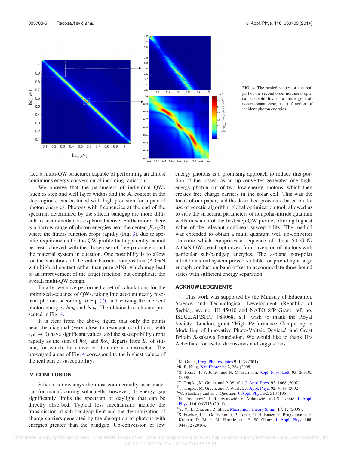<span id="page-6-0"></span>

FIG. 4. The scaled values of the real part of the second order nonlinear optical susceptibility in a more general, non-resonant case, as a function of incident photon energies.

(i.e., a multi-QW structure) capable of performing an almost continuous energy conversion of incoming radiation.

We observe that the parameters of individual QWs (such as step and well layer widths and the Al content in the step regions) can be tuned with high precision for a pair of photon energies. Photons with frequencies at the end of the spectrum determined by the silicon bandgap are more difficult to accommodate as explained above. Furthermore, there is a narrow range of photon energies near the center  $(E_{\varrho Si}/2)$ where the fitness function drops rapidly (Fig. [3](#page-5-0)), due to specific requirements for the QW profile that apparently cannot be best achieved with the chosen set of free parameters and the material system in question. One possibility is to allow for the variations of the outer barriers composition (AlGaN with high Al content rather than pure AlN), which may lead to an improvement of the target function, but complicate the overall multi-QW design.

Finally, we have performed a set of calculations for the optimized sequence of QWs, taking into account nearly resonant photons according to Eq. [\(7\)](#page-4-0), and varying the incident photon energies  $\hbar \omega_p$  and  $\hbar \omega_q$ . The obtained results are presented in Fig. 4.

It is clear from the above figure, that only the points near the diagonal (very close to resonant conditions, with  $\varepsilon$ ,  $\delta \rightarrow 0$ ) have significant values, and the susceptibility drops rapidly as the sum of  $\hbar \omega_p$  and  $\hbar \omega_q$  departs from  $E_g$  of silicon, for which the converter structure is constructed. The brown/red areas of Fig. 4 correspond to the highest values of the real part of susceptibility.

#### IV. CONCLUSION

Silicon is nowadays the most commercially used material for manufacturing solar cells; however, its energy gap significantly limits the spectrum of daylight that can be directly absorbed. Typical loss mechanisms include the transmission of sub-bandgap light and the thermalization of charge carriers generated by the absorption of photons with energies greater than the bandgap. Up-conversion of low energy photons is a promising approach to reduce this portion of the losses, as an up-converter generates one highenergy photon out of two low-energy photons, which then creates free charge carriers in the solar cell. This was the focus of our paper, and the described procedure based on the use of genetic algorithm global optimization tool, allowed us to vary the structural parameters of nonpolar-nitride quantum wells in search of the best step QW profile, offering highest value of the relevant nonlinear susceptibility. The method was extended to obtain a multi quantum well up-converter structure which comprises a sequence of about 50 GaN/ AlGaN QWs, each optimized for conversion of photons with particular sub-bandgap energies. The a-plane non-polar nitride material system proved suitable for providing a large enough conduction band offset to accommodate three bound states with sufficient energy separation.

#### ACKNOWLEDGMENTS

This work was supported by the Ministry of Education, Science and Technological Development (Republic of Serbia), ev. no. III 45010 and NATO SfP Grant, ref. no. ISEG.EAP.SFPP 984068. S.T. wish to thank the Royal Society, London, grant "High Performance Computing in Modelling of Innovative Photo-Voltaic Devices" and Great Britain Sasakawa Foundation. We would like to thank Urs Aeberhard for useful discussions and suggestions.

- <sup>1</sup>M. Green, [Prog. Photovoltaics](http://dx.doi.org/10.1002/pip.360) 9, 123 (2001).<br><sup>2</sup>P P King, Nat. Photonics 2, 284 (2008).
- ${}^{2}$ R. R. King, [Nat. Photonics](http://dx.doi.org/10.1038/nphoton.2008.68) 2, 284 (2008).
- <sup>3</sup>S. Tomić, T. S. Jones, and N. M. Harrison, [Appl. Phys. Lett.](http://dx.doi.org/10.1063/1.3058716) 93, 263105 (2008).
- <sup>4</sup>T. Trupke, M. Green, and P. Wurfel, [J. Appl. Phys.](http://dx.doi.org/10.1063/1.1492021) 92, 1668 (2002).<br><sup>5</sup>T. Trupke, M. Green, and P. Wurfel, J. Appl. Phys. 92, 4117 (2002).
- ${}^{5}$ T. Trupke, M. Green, and P. Wurfel, [J. Appl. Phys.](http://dx.doi.org/10.1063/1.1505677) 92, 4117 (2002).
- ${}^{6}$ W. Shockley and H. J. Queisser, [J. Appl. Phys.](http://dx.doi.org/10.1063/1.1736034) 32, 510 (1961).
- <sup>7</sup>N. Prodanović, J. Radovanović, V. Milanović, and S. Tomić, [J. Appl.](http://dx.doi.org/10.1063/1.3641977) [Phys.](http://dx.doi.org/10.1063/1.3641977) 110, 063713 (2011).
- ${}^{8}Y$ . Yi, L. Zhu, and Z. Shuai, [Macromol. Theory Simul.](http://dx.doi.org/10.1002/mats.200700054) 17, 12 (2008).
- <sup>9</sup>S. Fischer, J. C. Goldschmidt, P. Löper, G. H. Bauer, R. Brüggemann, K. Krämer, D. Biner, M. Hermle, and S. W. Glunz, [J. Appl. Phys.](http://dx.doi.org/10.1063/1.3478742) 108, 044912 (2010).